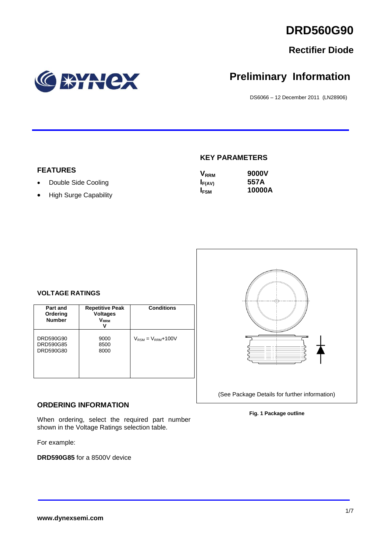# **Rectifier Diode**

# BYNCX

# **Preliminary Information**

DS6066 – 12 December 2011 (LN28906)

# **FEATURES**

- Double Side Cooling
- High Surge Capability

#### **KEY PARAMETERS**

| <b>V</b> <sub>RRM</sub> | 9000V  |
|-------------------------|--------|
| $I_{F(AV)}$             | 557A   |
| <b>IFSM</b>             | 10000A |



| Part and<br>Ordering<br><b>Number</b> | <b>Repetitive Peak</b><br><b>Voltages</b><br>$\mathsf{V}_\mathsf{RRM}$ | <b>Conditions</b>                        |
|---------------------------------------|------------------------------------------------------------------------|------------------------------------------|
| DRD590G90<br>DRD590G85<br>DRD590G80   | 9000<br>8500<br>8000                                                   | $V_{\text{RSM}} = V_{\text{RRM}} + 100V$ |

#### **ORDERING INFORMATION**

When ordering, select the required part number shown in the Voltage Ratings selection table.

For example:

**DRD590G85** for a 8500V device



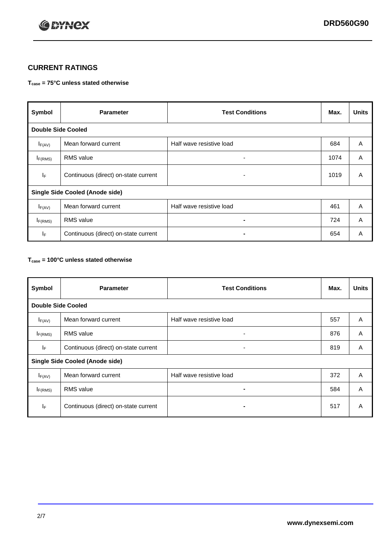

## **CURRENT RATINGS**

#### **Tcase = 75°C unless stated otherwise**

| Symbol                                 | <b>Parameter</b>                     | <b>Test Conditions</b>   | Max. | <b>Units</b> |  |
|----------------------------------------|--------------------------------------|--------------------------|------|--------------|--|
| <b>Double Side Cooled</b>              |                                      |                          |      |              |  |
| $I_{F(AV)}$                            | Mean forward current                 | Half wave resistive load | 684  | A            |  |
| $I_{F(RMS)}$                           | <b>RMS</b> value                     | ۰                        | 1074 | A            |  |
| lF.                                    | Continuous (direct) on-state current | ۰                        | 1019 | A            |  |
| <b>Single Side Cooled (Anode side)</b> |                                      |                          |      |              |  |
| $I_{F(AV)}$                            | Mean forward current                 | Half wave resistive load | 461  | A            |  |
| $I_{F(RMS)}$                           | <b>RMS</b> value                     | ۰.                       | 724  | A            |  |
| IF.                                    | Continuous (direct) on-state current |                          | 654  | A            |  |

#### **Tcase = 100°C unless stated otherwise**

| Symbol                    | <b>Parameter</b>                       | <b>Test Conditions</b>   | Max. | <b>Units</b>   |  |  |
|---------------------------|----------------------------------------|--------------------------|------|----------------|--|--|
| <b>Double Side Cooled</b> |                                        |                          |      |                |  |  |
| $I_{F(AV)}$               | Mean forward current                   | Half wave resistive load | 557  | A              |  |  |
| $I_{F(RMS)}$              | <b>RMS</b> value                       | ۰                        | 876  | A              |  |  |
| IF.                       | Continuous (direct) on-state current   | ٠                        | 819  | A              |  |  |
|                           | <b>Single Side Cooled (Anode side)</b> |                          |      |                |  |  |
| $I_{F(AV)}$               | Mean forward current                   | Half wave resistive load | 372  | $\overline{A}$ |  |  |
| I <sub>F(RMS)</sub>       | <b>RMS</b> value                       |                          | 584  | A              |  |  |
| IF                        | Continuous (direct) on-state current   | -                        | 517  | A              |  |  |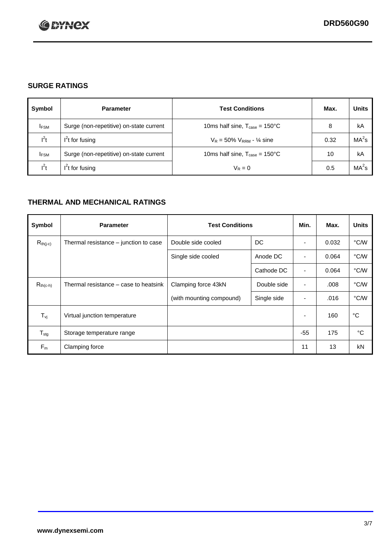

### **SURGE RATINGS**

| Symbol      | <b>Parameter</b>                        | <b>Test Conditions</b>                            | Max. | <b>Units</b>      |
|-------------|-----------------------------------------|---------------------------------------------------|------|-------------------|
| <b>IFSM</b> | Surge (non-repetitive) on-state current | 10ms half sine, $T_{\text{case}} = 150^{\circ}$ C | 8    | kA                |
| $l^2t$      | $I2t$ for fusing                        | $V_R = 50\% V_{RRM} - \frac{1}{4}$ sine           | 0.32 | MA <sup>2</sup> s |
| <b>IFSM</b> | Surge (non-repetitive) on-state current | 10ms half sine, $T_{\text{case}} = 150^{\circ}$ C | 10   | kA                |
| $l^2t$      | $I2t$ for fusing                        | $V_R = 0$                                         | 0.5  | $MA2$ s           |

### **THERMAL AND MECHANICAL RATINGS**

| Symbol           | <b>Parameter</b>                      | <b>Test Conditions</b>   |             | Min.                     | Max.  | <b>Units</b> |
|------------------|---------------------------------------|--------------------------|-------------|--------------------------|-------|--------------|
| $R_{th(j-c)}$    | Thermal resistance – junction to case | Double side cooled       | DC          | ٠                        | 0.032 | °C/W         |
|                  |                                       | Single side cooled       | Anode DC    |                          | 0.064 | °C/W         |
|                  |                                       |                          | Cathode DC  | $\overline{\phantom{a}}$ | 0.064 | °C/W         |
| $R_{th(c-h)}$    | Thermal resistance – case to heatsink | Clamping force 43kN      | Double side | ٠                        | .008  | °C/W         |
|                  |                                       | (with mounting compound) | Single side | ٠                        | .016  | °C/W         |
| $T_{\nu j}$      | Virtual junction temperature          |                          |             | ٠                        | 160   | $^{\circ}$ C |
| $T_{\text{stg}}$ | Storage temperature range             |                          |             | $-55$                    | 175   | °C           |
| $F_m$            | Clamping force                        |                          |             | 11                       | 13    | kN           |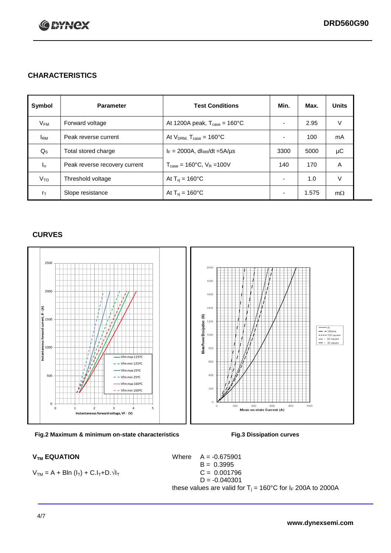

#### **CHARACTERISTICS**

| Symbol          | <b>Parameter</b>              | <b>Test Conditions</b>                          | Min. | Max.  | <b>Units</b> |
|-----------------|-------------------------------|-------------------------------------------------|------|-------|--------------|
| $V_{FM}$        | Forward voltage               | At 1200A peak, $T_{\text{case}} = 160^{\circ}C$ |      | 2.95  | V            |
| $I_{\rm RM}$    | Peak reverse current          | At $V_{DRM}$ , $T_{case} = 160^{\circ}C$        |      | 100   | mA           |
| $Q_{\rm S}$     | Total stored charge           | $I_F = 2000A$ , dl <sub>RR</sub> /dt =5A/µs     | 3300 | 5000  | μC           |
| $I_{rr}$        | Peak reverse recovery current | $T_{\text{case}} = 160^{\circ}C$ , $V_R = 100V$ | 140  | 170   | A            |
| V <sub>TO</sub> | Threshold voltage             | At $T_{vi}$ = 160 $^{\circ}$ C                  |      | 1.0   | V            |
| $r_{\text{T}}$  | Slope resistance              | At $T_{vi}$ = 160 $^{\circ}$ C                  |      | 1.575 | $m\Omega$    |

#### **CURVES**



**Fig.2 Maximum & minimum on-state characteristics Fig.3 Dissipation curves**

 $V_{TM} = A + Bln (I_T) + C.I_T + D.\sqrt{I_T}$  C = 0.001796

 $V_{TM}$  **EQUATION** Where  $A = -0.675901$  $B = 0.3995$  $D = -0.040301$ these values are valid for  $T_j = 160^{\circ}$ C for  $I_F$  200A to 2000A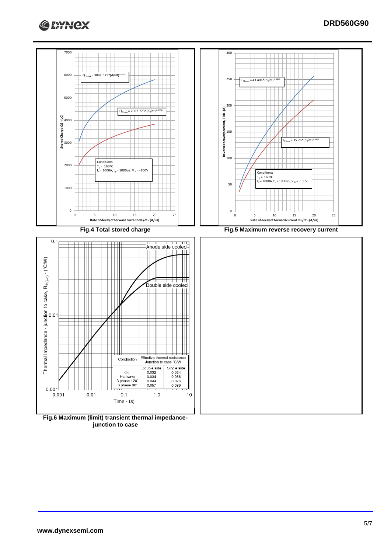



**junction to case**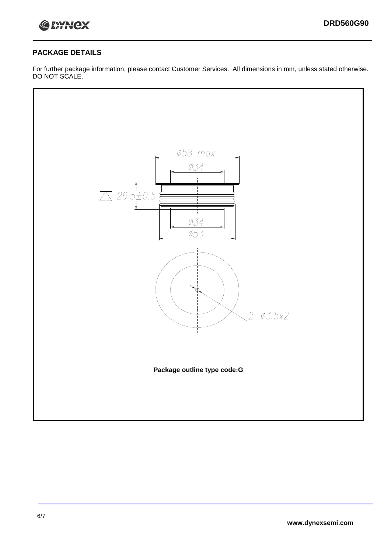

#### **PACKAGE DETAILS**

For further package information, please contact Customer Services. All dimensions in mm, unless stated otherwise. DO NOT SCALE.